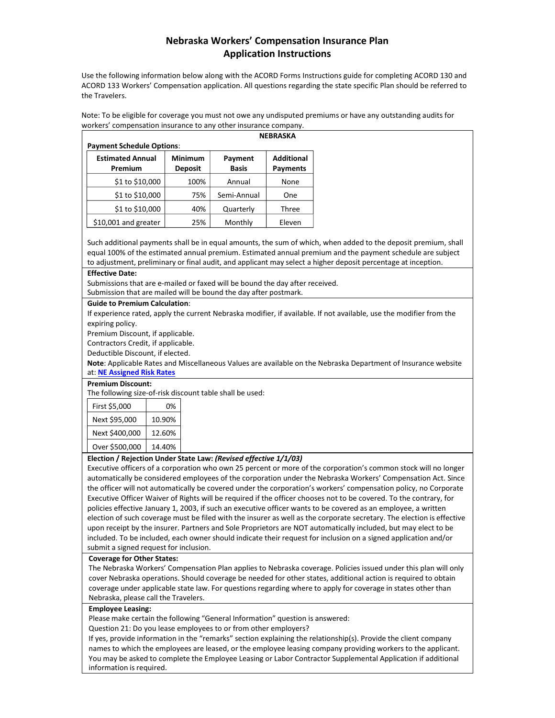# **Nebraska Workers' Compensation Insurance Plan Application Instructions**

Use the following information below along with the ACORD Forms Instructions guide for completing ACORD 130 and ACORD 133 Workers' Compensation application. All questions regarding the state specific Plan should be referred to the Travelers.

Note: To be eligible for coverage you must not owe any undisputed premiums or have any outstanding audits for workers' compensation insurance to any other insurance company.

| <b>Payment Schedule Options:</b>   | <b>NEBRASKA</b>                  |                         |                               |
|------------------------------------|----------------------------------|-------------------------|-------------------------------|
| <b>Estimated Annual</b><br>Premium | <b>Minimum</b><br><b>Deposit</b> | Payment<br><b>Basis</b> | <b>Additional</b><br>Payments |
| \$1 to \$10,000                    | 100%                             | Annual                  | None                          |
| \$1 to \$10,000                    | 75%                              | Semi-Annual             | One                           |
| \$1 to \$10,000                    | 40%                              | Quarterly               | Three                         |
| \$10,001 and greater               | 25%                              | Monthly                 | Eleven                        |

Such additional payments shall be in equal amounts, the sum of which, when added to the deposit premium, shall equal 100% of the estimated annual premium. Estimated annual premium and the payment schedule are subject to adjustment, preliminary or final audit, and applicant may select a higher deposit percentage at inception.

#### **Effective Date:**

Submissions that are e-mailed or faxed will be bound the day after received. Submission that are mailed will be bound the day after postmark.

#### **Guide to Premium Calculation**:

If experience rated, apply the current Nebraska modifier, if available. If not available, use the modifier from the expiring policy.

Premium Discount, if applicable.

Contractors Credit, if applicable.

Deductible Discount, if elected.

**Note**: Applicable Rates and Miscellaneous Values are available on the Nebraska Department of Insurance website at: **NE [Assigned](http://www.doi.nebraska.gov/wc/travelers/nwcip.html) Risk Rates**

#### **Premium Discount:**

The following size-of-risk discount table shall be used:

| First \$5,000  | 0%     |
|----------------|--------|
| Next \$95,000  | 10.90% |
| Next \$400,000 | 12.60% |
| Over \$500,000 | 14.40% |

#### **Election / Rejection Under State Law:** *(Revised effective 1/1/03)*

Executive officers of a corporation who own 25 percent or more of the corporation's common stock will no longer automatically be considered employees of the corporation under the Nebraska Workers' Compensation Act. Since the officer will not automatically be covered under the corporation's workers' compensation policy, no Corporate Executive Officer Waiver of Rights will be required if the officer chooses not to be covered. To the contrary, for policies effective January 1, 2003, if such an executive officer wants to be covered as an employee, a written election of such coverage must be filed with the insurer as well as the corporate secretary. The election is effective upon receipt by the insurer. Partners and Sole Proprietors are NOT automatically included, but may elect to be included. To be included, each owner should indicate their request for inclusion on a signed application and/or submit a signed request for inclusion.

#### **Coverage for Other States:**

The Nebraska Workers' Compensation Plan applies to Nebraska coverage. Policies issued under this plan will only cover Nebraska operations. Should coverage be needed for other states, additional action is required to obtain coverage under applicable state law. For questions regarding where to apply for coverage in states other than Nebraska, please call the Travelers.

#### **Employee Leasing:**

Please make certain the following "General Information" question is answered:

Question 21: Do you lease employees to or from other employers?

If yes, provide information in the "remarks" section explaining the relationship(s). Provide the client company names to which the employees are leased, or the employee leasing company providing workers to the applicant. You may be asked to complete the Employee Leasing or Labor Contractor Supplemental Application if additional information is required.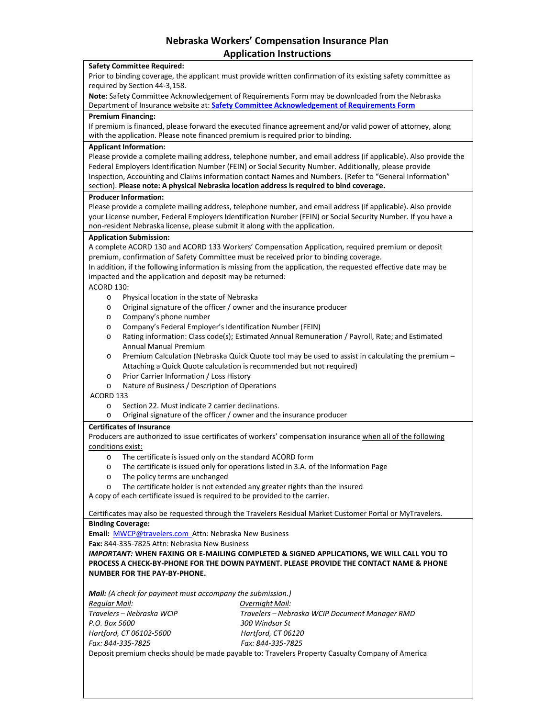# **Nebraska Workers' Compensation Insurance Plan Application Instructions**

#### **Safety Committee Required:**

Prior to binding coverage, the applicant must provide written confirmation of its existing safety committee as required by Section 44-3,158.

**Note:** Safety Committee Acknowledgement of Requirements Form may be downloaded from the Nebraska Department of Insurance website at: **Safety Committee [Acknowledgement](https://doi.nebraska.gov/sites/doi.nebraska.gov/files/doc/nebraska-safety-requirements.pdf) of Requirements Form**

#### **Premium Financing:**

If premium is financed, please forward the executed finance agreement and/or valid power of attorney, along with the application. Please note financed premium is required prior to binding.

#### **Applicant Information:**

Please provide a complete mailing address, telephone number, and email address (if applicable). Also provide the Federal Employers Identification Number (FEIN) or Social Security Number. Additionally, please provide Inspection, Accounting and Claims information contact Names and Numbers. (Refer to "General Information" section). **Please note: A physical Nebraska location address is required to bind coverage.**

## **Producer Information:**

Please provide a complete mailing address, telephone number, and email address (if applicable). Also provide your License number, Federal Employers Identification Number (FEIN) or Social Security Number. If you have a non-resident Nebraska license, please submit it along with the application.

## **Application Submission:**

A complete ACORD 130 and ACORD 133 Workers' Compensation Application, required premium or deposit premium, confirmation of Safety Committee must be received prior to binding coverage.

In addition, if the following information is missing from the application, the requested effective date may be impacted and the application and deposit may be returned:

# ACORD 130:

- o Physical location in the state of Nebraska
- o Original signature of the officer / owner and the insurance producer
- o Company's phone number
- o Company's Federal Employer's Identification Number (FEIN)
- o Rating information: Class code(s); Estimated Annual Remuneration / Payroll, Rate; and Estimated Annual Manual Premium
- o Premium Calculation (Nebraska Quick Quote tool may be used to assist in calculating the premium Attaching a Quick Quote calculation is recommended but not required)
- o Prior Carrier Information / Loss History
- o Nature of Business / Description of Operations

ACORD 133

- o Section 22. Must indicate 2 carrier declinations.
- o Original signature of the officer / owner and the insurance producer

#### **Certificates of Insurance**

Producers are authorized to issue certificates of workers' compensation insurance when all of the following conditions exist:

- o The certificate is issued only on the standard ACORD form
- o The certificate is issued only for operations listed in 3.A. of the Information Page
- o The policy terms are unchanged
- o The certificate holder is not extended any greater rights than the insured

A copy of each certificate issued is required to be provided to the carrier.

Certificates may also be requested through the Travelers Residual Market Customer Portal or MyTravelers. **Binding Coverage:**

**Email:** [MWCP@travelers.com](mailto:MWCP@travelers.com) Attn: Nebraska New Business

**Fax:** 844-335-7825 Attn: Nebraska New Business

*IMPORTANT:* **WHEN FAXING OR E-MAILING COMPLETED & SIGNED APPLICATIONS, WE WILL CALL YOU TO PROCESS A CHECK-BY-PHONE FOR THE DOWN PAYMENT. PLEASE PROVIDE THE CONTACT NAME & PHONE NUMBER FOR THE PAY-BY-PHONE.**

*Mail: (A check for payment must accompany the submission.) Regular Mail: Overnight Mail: Travelers – Nebraska WCIP Travelers – Nebraska WCIP Document Manager RMD P.O. Box 5600 300 Windsor St Hartford, CT 06102-5600 Hartford, CT 06120 Fax: 844-335-7825 Fax: 844-335-7825*

Deposit premium checks should be made payable to: Travelers Property Casualty Company of America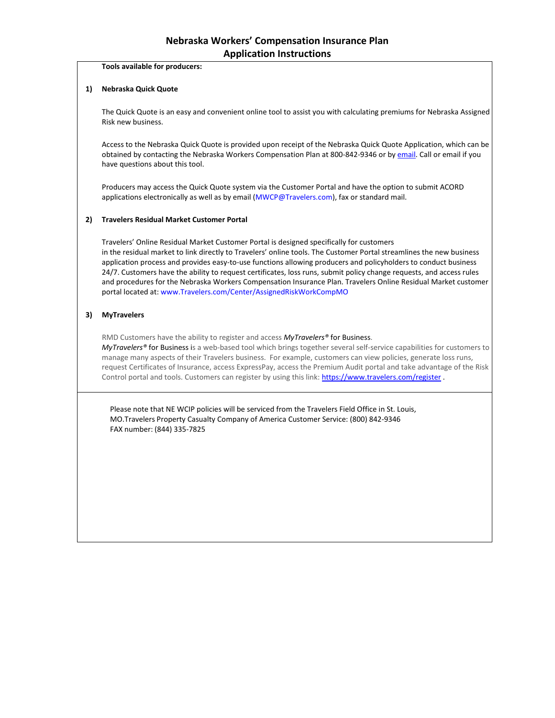**Tools available for producers:** 

# **1) Nebraska Quick Quote**

The Quick Quote is an easy and convenient online tool to assist you with calculating premiums for Nebraska Assigned Risk new business.

Access to the Nebraska Quick Quote is provided upon receipt of the Nebraska Quick Quote Application, which can be obtained by contacting the Nebraska Workers Compensation Plan at 800-842-9346 or b[y email.](mailto:MWCP@Travelers.com) Call or email if you have questions about this tool.

Producers may access the Quick Quote system via the Customer Portal and have the option to submit ACORD applications electronically as well as by email (MWCP@Travelers.com), fax or standard mail.

# **2) Travelers Residual Market Customer Portal**

Travelers' Online Residual Market Customer Portal is designed specifically for customers in the residual market to link directly to Travelers' online tools. The Customer Portal streamlines the new business application process and provides easy-to-use functions allowing producers and policyholders to conduct business 24/7. Customers have the ability to request certificates, loss runs, submit policy change requests, and access rules and procedures for the Nebraska Workers Compensation Insurance Plan. Travelers Online Residual Market customer portal located at: www.Travelers.com/Center/AssignedRiskWorkCompMO

# **3) MyTravelers**

RMD Customers have the ability to register and access *MyTravelers®* for Business.

*MyTravelers®* for Business is a web-based tool which brings together several self-service capabilities for customers to manage many aspects of their Travelers business. For example, customers can view policies, generate loss runs, request Certificates of Insurance, access ExpressPay, access the Premium Audit portal and take advantage of the Risk Control portal and tools. Customers can register by using this link:<https://www.travelers.com/register> .

Please note that NE WCIP policies will be serviced from the Travelers Field Office in St. Louis, MO.Travelers Property Casualty Company of America Customer Service: (800) 842-9346 FAX number: (844) 335-7825